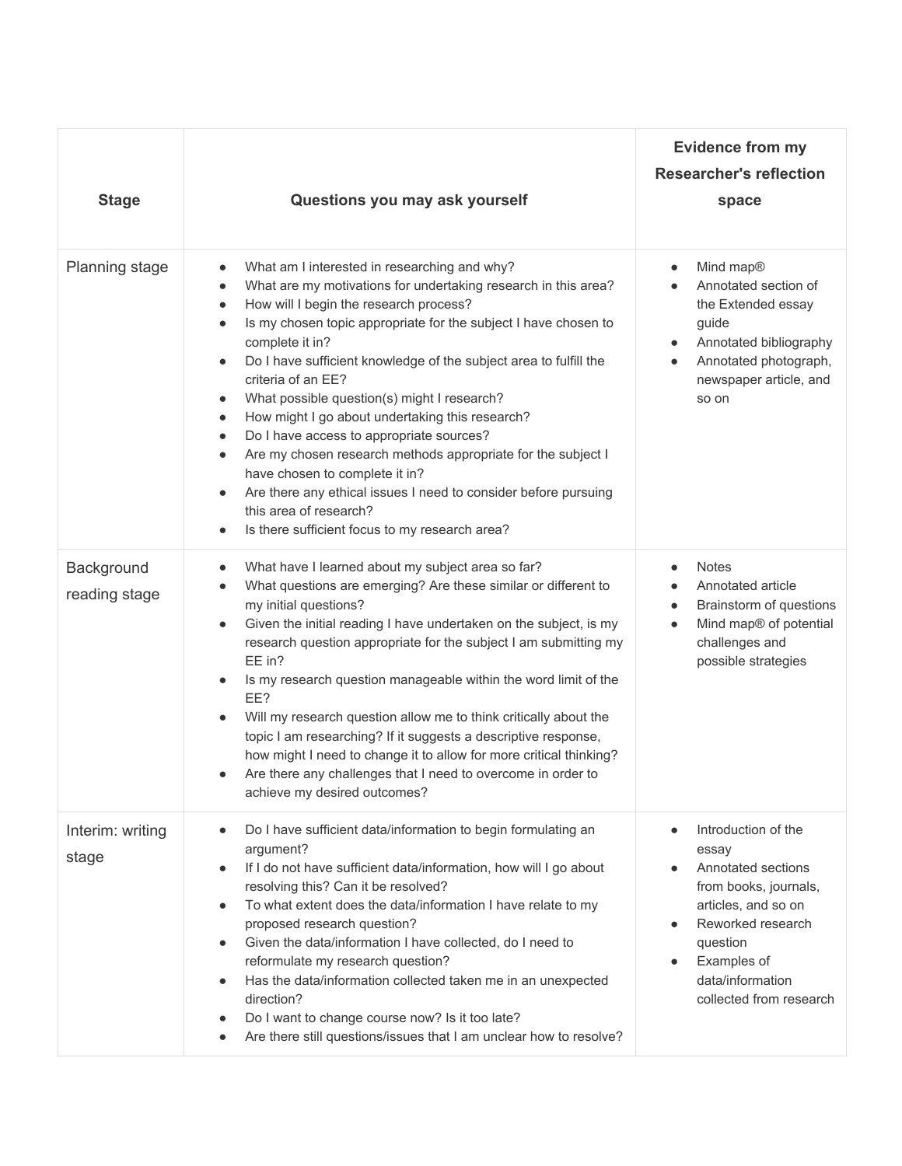| <b>Stage</b>                | Questions you may ask yourself                                                                                                                                                                                                                                                                                                                                                                                                                                                                                                                                                                                                                                                                                                                                                                                                                                                          | <b>Evidence from my</b><br><b>Researcher's reflection</b><br>space                                                                                                                                |
|-----------------------------|-----------------------------------------------------------------------------------------------------------------------------------------------------------------------------------------------------------------------------------------------------------------------------------------------------------------------------------------------------------------------------------------------------------------------------------------------------------------------------------------------------------------------------------------------------------------------------------------------------------------------------------------------------------------------------------------------------------------------------------------------------------------------------------------------------------------------------------------------------------------------------------------|---------------------------------------------------------------------------------------------------------------------------------------------------------------------------------------------------|
| Planning stage              | What am I interested in researching and why?<br>$\bullet$<br>What are my motivations for undertaking research in this area?<br>$\bullet$<br>How will I begin the research process?<br>$\bullet$<br>Is my chosen topic appropriate for the subject I have chosen to<br>$\bullet$<br>complete it in?<br>Do I have sufficient knowledge of the subject area to fulfill the<br>$\bullet$<br>criteria of an EE?<br>What possible question(s) might I research?<br>$\bullet$<br>How might I go about undertaking this research?<br>$\bullet$<br>Do I have access to appropriate sources?<br>$\bullet$<br>Are my chosen research methods appropriate for the subject I<br>$\bullet$<br>have chosen to complete it in?<br>Are there any ethical issues I need to consider before pursuing<br>$\bullet$<br>this area of research?<br>Is there sufficient focus to my research area?<br>$\bullet$ | Mind map®<br>$\bullet$<br>Annotated section of<br>the Extended essay<br>guide<br>Annotated bibliography<br>Annotated photograph,<br>newspaper article, and<br>so on                               |
| Background<br>reading stage | What have I learned about my subject area so far?<br>$\bullet$<br>What questions are emerging? Are these similar or different to<br>$\bullet$<br>my initial questions?<br>Given the initial reading I have undertaken on the subject, is my<br>$\bullet$<br>research question appropriate for the subject I am submitting my<br>EE in?<br>Is my research question manageable within the word limit of the<br>$\bullet$<br>EE?<br>Will my research question allow me to think critically about the<br>$\bullet$<br>topic I am researching? If it suggests a descriptive response,<br>how might I need to change it to allow for more critical thinking?<br>Are there any challenges that I need to overcome in order to<br>achieve my desired outcomes?                                                                                                                                  | <b>Notes</b><br>Annotated article<br>Brainstorm of questions<br>$\bullet$<br>Mind map® of potential<br>$\bullet$<br>challenges and<br>possible strategies                                         |
| Interim: writing<br>stage   | Do I have sufficient data/information to begin formulating an<br>$\bullet$<br>argument?<br>If I do not have sufficient data/information, how will I go about<br>$\bullet$<br>resolving this? Can it be resolved?<br>To what extent does the data/information I have relate to my<br>$\bullet$<br>proposed research question?<br>Given the data/information I have collected, do I need to<br>$\bullet$<br>reformulate my research question?<br>Has the data/information collected taken me in an unexpected<br>$\bullet$<br>direction?<br>Do I want to change course now? Is it too late?<br>$\bullet$<br>Are there still questions/issues that I am unclear how to resolve?<br>$\bullet$                                                                                                                                                                                               | Introduction of the<br>essay<br>Annotated sections<br>from books, journals,<br>articles, and so on<br>Reworked research<br>question<br>Examples of<br>data/information<br>collected from research |